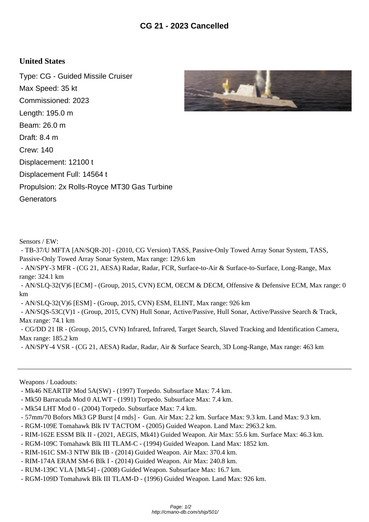## **United States**

Type: CG - Guided Missile Cruiser Max Speed: 35 kt Commissioned: 2023 Length: 195.0 m Beam: 26.0 m Draft: 8.4 m Crew: 140 Displacement: 12100 t Displacement Full: 14564 t Propulsion: 2x Rolls-Royce MT30 Gas Turbine **Generators** 



Sensors / EW:

 - TB-37/U MFTA [AN/SQR-20] - (2010, CG Version) TASS, Passive-Only Towed Array Sonar System, TASS, Passive-Only Towed Array Sonar System, Max range: 129.6 km

 - AN/SPY-3 MFR - (CG 21, AESA) Radar, Radar, FCR, Surface-to-Air & Surface-to-Surface, Long-Range, Max range: 324.1 km

 - AN/SLQ-32(V)6 [ECM] - (Group, 2015, CVN) ECM, OECM & DECM, Offensive & Defensive ECM, Max range: 0 km

- AN/SLQ-32(V)6 [ESM] - (Group, 2015, CVN) ESM, ELINT, Max range: 926 km

 - AN/SQS-53C(V)1 - (Group, 2015, CVN) Hull Sonar, Active/Passive, Hull Sonar, Active/Passive Search & Track, Max range: 74.1 km

 - CG/DD 21 IR - (Group, 2015, CVN) Infrared, Infrared, Target Search, Slaved Tracking and Identification Camera, Max range: 185.2 km

- AN/SPY-4 VSR - (CG 21, AESA) Radar, Radar, Air & Surface Search, 3D Long-Range, Max range: 463 km

Weapons / Loadouts:

- Mk46 NEARTIP Mod 5A(SW) (1997) Torpedo. Subsurface Max: 7.4 km.
- Mk50 Barracuda Mod 0 ALWT (1991) Torpedo. Subsurface Max: 7.4 km.
- Mk54 LHT Mod 0 (2004) Torpedo. Subsurface Max: 7.4 km.
- 57mm/70 Bofors Mk3 GP Burst [4 rnds] Gun. Air Max: 2.2 km. Surface Max: 9.3 km. Land Max: 9.3 km.
- RGM-109E Tomahawk Blk IV TACTOM (2005) Guided Weapon. Land Max: 2963.2 km.
- RIM-162E ESSM Blk II (2021, AEGIS, Mk41) Guided Weapon. Air Max: 55.6 km. Surface Max: 46.3 km.
- RGM-109C Tomahawk Blk III TLAM-C (1994) Guided Weapon. Land Max: 1852 km.
- RIM-161C SM-3 NTW Blk IB (2014) Guided Weapon. Air Max: 370.4 km.
- RIM-174A ERAM SM-6 Blk I (2014) Guided Weapon. Air Max: 240.8 km.
- RUM-139C VLA [Mk54] (2008) Guided Weapon. Subsurface Max: 16.7 km.
- RGM-109D Tomahawk Blk III TLAM-D (1996) Guided Weapon. Land Max: 926 km.